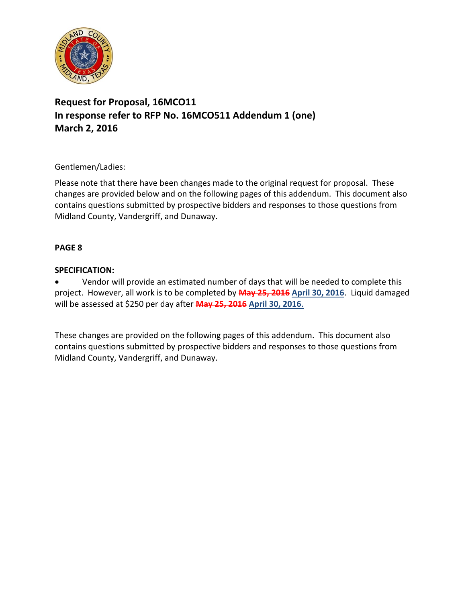

# **Request for Proposal, 16MCO11 In response refer to RFP No. 16MCO511 Addendum 1 (one) March 2, 2016**

## Gentlemen/Ladies:

Please note that there have been changes made to the original request for proposal. These changes are provided below and on the following pages of this addendum. This document also contains questions submitted by prospective bidders and responses to those questions from Midland County, Vandergriff, and Dunaway.

### **PAGE 8**

## **SPECIFICATION:**

 Vendor will provide an estimated number of days that will be needed to complete this project. However, all work is to be completed by **May 25, 2016 April 30, 2016**. Liquid damaged will be assessed at \$250 per day after **May 25, 2016 April 30, 2016**.

These changes are provided on the following pages of this addendum. This document also contains questions submitted by prospective bidders and responses to those questions from Midland County, Vandergriff, and Dunaway.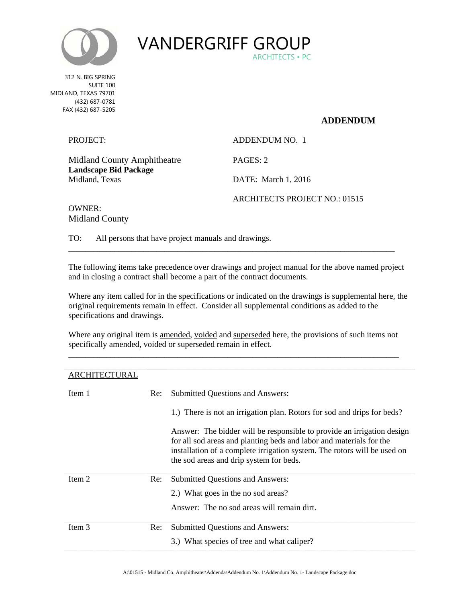



 MIDLAND, TEXAS 79701 312 N. BIG SPRING SUITE 100 (432) 687-0781 FAX (432) 687-5205

#### **ADDENDUM**

| PROJECT:                                                    | ADDENDUM NO. 1                |
|-------------------------------------------------------------|-------------------------------|
| Midland County Amphitheatre<br><b>Landscape Bid Package</b> | PAGES: 2                      |
| Midland, Texas                                              | DATE: March 1, 2016           |
| $\alpha$ if it is not                                       | ARCHITECTS PROJECT NO.: 01515 |

OWNER: Midland County

TO: All persons that have project manuals and drawings.

The following items take precedence over drawings and project manual for the above named project and in closing a contract shall become a part of the contract documents.

\_\_\_\_\_\_\_\_\_\_\_\_\_\_\_\_\_\_\_\_\_\_\_\_\_\_\_\_\_\_\_\_\_\_\_\_\_\_\_\_\_\_\_\_\_\_\_\_\_\_\_\_\_\_\_\_\_\_\_\_\_\_\_\_\_\_\_\_\_\_\_\_\_\_\_\_\_\_

Where any item called for in the specifications or indicated on the drawings is supplemental here, the original requirements remain in effect. Consider all supplemental conditions as added to the specifications and drawings.

Where any original item is amended, voided and superseded here, the provisions of such items not specifically amended, voided or superseded remain in effect. \_\_\_\_\_\_\_\_\_\_\_\_\_\_\_\_\_\_\_\_\_\_\_\_\_\_\_\_\_\_\_\_\_\_\_\_\_\_\_\_\_\_\_\_\_\_\_\_\_\_\_\_\_\_\_\_\_\_\_\_\_\_\_\_\_\_\_\_\_\_\_\_\_\_\_\_\_\_\_

| ARCHITECTURAL |     |                                                                                                                                                                                                                                                                      |
|---------------|-----|----------------------------------------------------------------------------------------------------------------------------------------------------------------------------------------------------------------------------------------------------------------------|
| Item 1        | Re: | <b>Submitted Questions and Answers:</b>                                                                                                                                                                                                                              |
|               |     | 1.) There is not an irrigation plan. Rotors for sod and drips for beds?                                                                                                                                                                                              |
|               |     | Answer: The bidder will be responsible to provide an irrigation design<br>for all sod areas and planting beds and labor and materials for the<br>installation of a complete irrigation system. The rotors will be used on<br>the sod areas and drip system for beds. |
| Item 2        | Re: | <b>Submitted Questions and Answers:</b>                                                                                                                                                                                                                              |
|               |     | 2.) What goes in the no sod areas?                                                                                                                                                                                                                                   |
|               |     | Answer: The no sod areas will remain dirt.                                                                                                                                                                                                                           |
| Item 3        | Re: | <b>Submitted Questions and Answers:</b>                                                                                                                                                                                                                              |
|               |     | 3.) What species of tree and what caliper?                                                                                                                                                                                                                           |